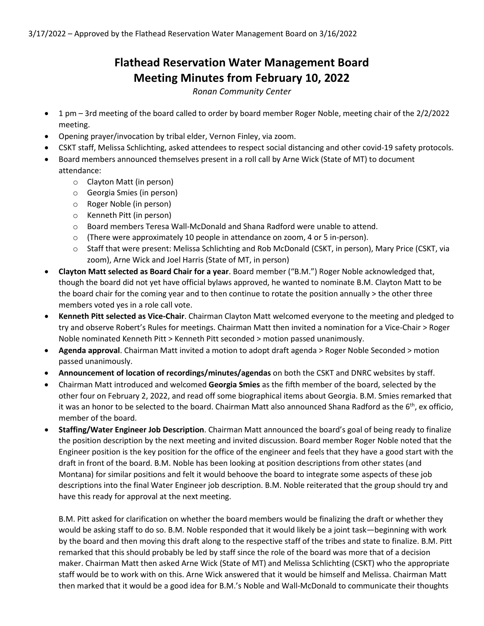## **Flathead Reservation Water Management Board Meeting Minutes from February 10, 2022**

*Ronan Community Center*

- 1 pm 3rd meeting of the board called to order by board member Roger Noble, meeting chair of the 2/2/2022 meeting.
- Opening prayer/invocation by tribal elder, Vernon Finley, via zoom.
- CSKT staff, Melissa Schlichting, asked attendees to respect social distancing and other covid-19 safety protocols.
- Board members announced themselves present in a roll call by Arne Wick (State of MT) to document attendance:
	- o Clayton Matt (in person)
	- o Georgia Smies (in person)
	- o Roger Noble (in person)
	- o Kenneth Pitt (in person)
	- o Board members Teresa Wall-McDonald and Shana Radford were unable to attend.
	- o (There were approximately 10 people in attendance on zoom, 4 or 5 in-person).
	- o Staff that were present: Melissa Schlichting and Rob McDonald (CSKT, in person), Mary Price (CSKT, via zoom), Arne Wick and Joel Harris (State of MT, in person)
- **Clayton Matt selected as Board Chair for a year**. Board member ("B.M.") Roger Noble acknowledged that, though the board did not yet have official bylaws approved, he wanted to nominate B.M. Clayton Matt to be the board chair for the coming year and to then continue to rotate the position annually > the other three members voted yes in a role call vote.
- **Kenneth Pitt selected as Vice-Chair**. Chairman Clayton Matt welcomed everyone to the meeting and pledged to try and observe Robert's Rules for meetings. Chairman Matt then invited a nomination for a Vice-Chair > Roger Noble nominated Kenneth Pitt > Kenneth Pitt seconded > motion passed unanimously.
- **Agenda approval**. Chairman Matt invited a motion to adopt draft agenda > Roger Noble Seconded > motion passed unanimously.
- **Announcement of location of recordings/minutes/agendas** on both the CSKT and DNRC websites by staff.
- Chairman Matt introduced and welcomed **Georgia Smies** as the fifth member of the board, selected by the other four on February 2, 2022, and read off some biographical items about Georgia. B.M. Smies remarked that it was an honor to be selected to the board. Chairman Matt also announced Shana Radford as the  $6<sup>th</sup>$ , ex officio, member of the board.
- **Staffing/Water Engineer Job Description**. Chairman Matt announced the board's goal of being ready to finalize the position description by the next meeting and invited discussion. Board member Roger Noble noted that the Engineer position is the key position for the office of the engineer and feels that they have a good start with the draft in front of the board. B.M. Noble has been looking at position descriptions from other states (and Montana) for similar positions and felt it would behoove the board to integrate some aspects of these job descriptions into the final Water Engineer job description. B.M. Noble reiterated that the group should try and have this ready for approval at the next meeting.

B.M. Pitt asked for clarification on whether the board members would be finalizing the draft or whether they would be asking staff to do so. B.M. Noble responded that it would likely be a joint task—beginning with work by the board and then moving this draft along to the respective staff of the tribes and state to finalize. B.M. Pitt remarked that this should probably be led by staff since the role of the board was more that of a decision maker. Chairman Matt then asked Arne Wick (State of MT) and Melissa Schlichting (CSKT) who the appropriate staff would be to work with on this. Arne Wick answered that it would be himself and Melissa. Chairman Matt then marked that it would be a good idea for B.M.'s Noble and Wall-McDonald to communicate their thoughts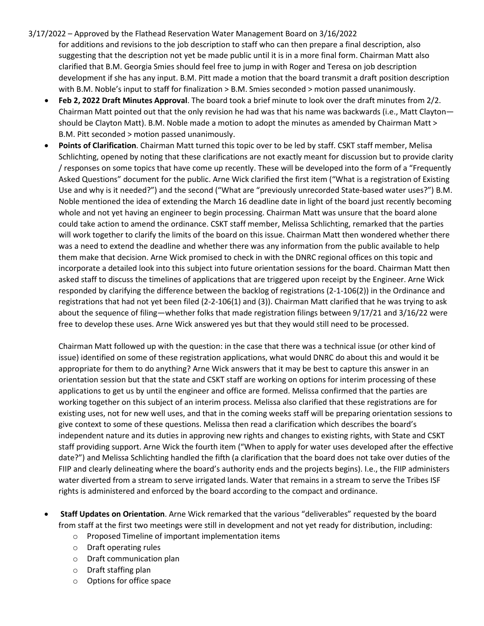- 3/17/2022 Approved by the Flathead Reservation Water Management Board on 3/16/2022
	- for additions and revisions to the job description to staff who can then prepare a final description, also suggesting that the description not yet be made public until it is in a more final form. Chairman Matt also clarified that B.M. Georgia Smies should feel free to jump in with Roger and Teresa on job description development if she has any input. B.M. Pitt made a motion that the board transmit a draft position description with B.M. Noble's input to staff for finalization > B.M. Smies seconded > motion passed unanimously.
	- **Feb 2, 2022 Draft Minutes Approval**. The board took a brief minute to look over the draft minutes from 2/2. Chairman Matt pointed out that the only revision he had was that his name was backwards (i.e., Matt Clayton should be Clayton Matt). B.M. Noble made a motion to adopt the minutes as amended by Chairman Matt > B.M. Pitt seconded > motion passed unanimously.
	- **Points of Clarification**. Chairman Matt turned this topic over to be led by staff. CSKT staff member, Melisa Schlichting, opened by noting that these clarifications are not exactly meant for discussion but to provide clarity / responses on some topics that have come up recently. These will be developed into the form of a "Frequently Asked Questions" document for the public. Arne Wick clarified the first item ("What is a registration of Existing Use and why is it needed?") and the second ("What are "previously unrecorded State-based water uses?") B.M. Noble mentioned the idea of extending the March 16 deadline date in light of the board just recently becoming whole and not yet having an engineer to begin processing. Chairman Matt was unsure that the board alone could take action to amend the ordinance. CSKT staff member, Melissa Schlichting, remarked that the parties will work together to clarify the limits of the board on this issue. Chairman Matt then wondered whether there was a need to extend the deadline and whether there was any information from the public available to help them make that decision. Arne Wick promised to check in with the DNRC regional offices on this topic and incorporate a detailed look into this subject into future orientation sessions for the board. Chairman Matt then asked staff to discuss the timelines of applications that are triggered upon receipt by the Engineer. Arne Wick responded by clarifying the difference between the backlog of registrations (2-1-106(2)) in the Ordinance and registrations that had not yet been filed (2-2-106(1) and (3)). Chairman Matt clarified that he was trying to ask about the sequence of filing—whether folks that made registration filings between 9/17/21 and 3/16/22 were free to develop these uses. Arne Wick answered yes but that they would still need to be processed.

Chairman Matt followed up with the question: in the case that there was a technical issue (or other kind of issue) identified on some of these registration applications, what would DNRC do about this and would it be appropriate for them to do anything? Arne Wick answers that it may be best to capture this answer in an orientation session but that the state and CSKT staff are working on options for interim processing of these applications to get us by until the engineer and office are formed. Melissa confirmed that the parties are working together on this subject of an interim process. Melissa also clarified that these registrations are for existing uses, not for new well uses, and that in the coming weeks staff will be preparing orientation sessions to give context to some of these questions. Melissa then read a clarification which describes the board's independent nature and its duties in approving new rights and changes to existing rights, with State and CSKT staff providing support. Arne Wick the fourth item ("When to apply for water uses developed after the effective date?") and Melissa Schlichting handled the fifth (a clarification that the board does not take over duties of the FIIP and clearly delineating where the board's authority ends and the projects begins). I.e., the FIIP administers water diverted from a stream to serve irrigated lands. Water that remains in a stream to serve the Tribes ISF rights is administered and enforced by the board according to the compact and ordinance.

- **Staff Updates on Orientation**. Arne Wick remarked that the various "deliverables" requested by the board from staff at the first two meetings were still in development and not yet ready for distribution, including:
	- o Proposed Timeline of important implementation items
	- o Draft operating rules
	- o Draft communication plan
	- o Draft staffing plan
	- o Options for office space